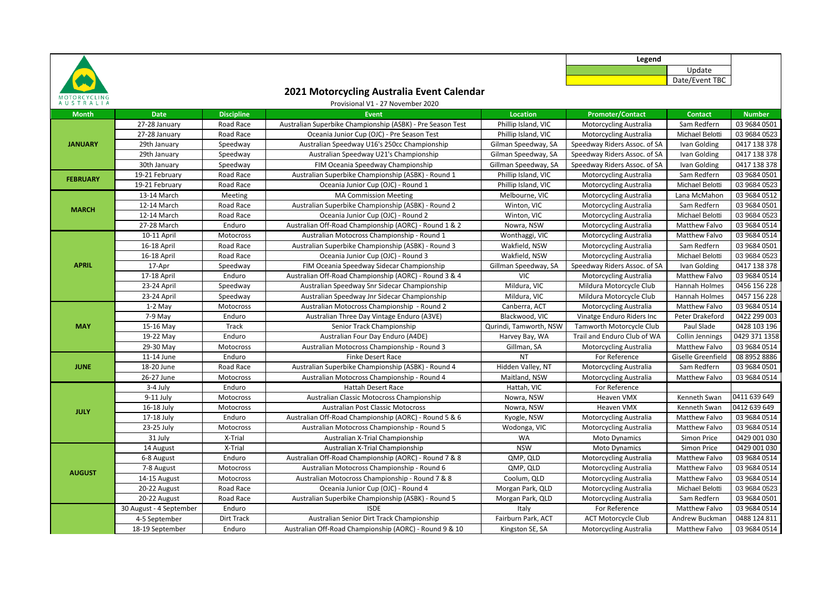

## **2021 Motorcycling Australia Event Calendar**

Update Date/Event TBC

**Legend**

| AUSTRALIA<br>Provisional V1 - 27 November 2020 |                         |                   |                                                            |                        |                               |                      |               |  |  |  |
|------------------------------------------------|-------------------------|-------------------|------------------------------------------------------------|------------------------|-------------------------------|----------------------|---------------|--|--|--|
| <b>Month</b>                                   | <b>Date</b>             | <b>Discipline</b> | Event                                                      | <b>Location</b>        | <b>Promoter/Contact</b>       | <b>Contact</b>       | <b>Number</b> |  |  |  |
| <b>JANUARY</b>                                 | 27-28 January           | Road Race         | Australian Superbike Championship (ASBK) - Pre Season Test | Phillip Island, VIC    | Motorcycling Australia        | Sam Redfern          | 03 9684 0501  |  |  |  |
|                                                | 27-28 January           | Road Race         | Oceania Junior Cup (OJC) - Pre Season Test                 | Phillip Island, VIC    | Motorcycling Australia        | Michael Belotti      | 03 9684 0523  |  |  |  |
|                                                | 29th January            | Speedway          | Australian Speedway U16's 250cc Championship               | Gilman Speedway, SA    | Speedway Riders Assoc. of SA  | Ivan Golding         | 0417 138 378  |  |  |  |
|                                                | 29th January            | Speedway          | Australian Speedway U21's Championship                     | Gilman Speedway, SA    | Speedway Riders Assoc. of SA  | Ivan Golding         | 0417 138 378  |  |  |  |
|                                                | 30th January            | Speedway          | FIM Oceania Speedway Championship                          | Gillman Speedway, SA   | Speedway Riders Assoc. of SA  | Ivan Golding         | 0417 138 378  |  |  |  |
| <b>FEBRUARY</b>                                | 19-21 February          | Road Race         | Australian Superbike Championship (ASBK) - Round 1         | Phillip Island, VIC    | Motorcycling Australia        | Sam Redfern          | 03 9684 0501  |  |  |  |
|                                                | 19-21 February          | Road Race         | Oceania Junior Cup (OJC) - Round 1                         | Phillip Island, VIC    | <b>Motorcycling Australia</b> | Michael Belotti      | 03 9684 0523  |  |  |  |
| <b>MARCH</b>                                   | 13-14 March             | Meeting           | <b>MA Commission Meeting</b>                               | Melbourne, VIC         | Motorcycling Australia        | Lana McMahon         | 03 9684 0512  |  |  |  |
|                                                | 12-14 March             | Road Race         | Australian Superbike Championship (ASBK) - Round 2         | Winton, VIC            | Motorcycling Australia        | Sam Redfern          | 03 9684 0501  |  |  |  |
|                                                | 12-14 March             | Road Race         | Oceania Junior Cup (OJC) - Round 2                         | Winton, VIC            | Motorcycling Australia        | Michael Belotti      | 03 9684 0523  |  |  |  |
|                                                | 27-28 March             | Enduro            | Australian Off-Road Championship (AORC) - Round 1 & 2      | Nowra, NSW             | Motorcycling Australia        | Matthew Falvo        | 03 9684 0514  |  |  |  |
|                                                | 10-11 April             | Motocross         | Australian Motocross Championship - Round 1                | Wonthaggi, VIC         | <b>Motorcycling Australia</b> | <b>Matthew Falvo</b> | 03 9684 0514  |  |  |  |
|                                                | 16-18 April             | Road Race         | Australian Superbike Championship (ASBK) - Round 3         | Wakfield, NSW          | Motorcycling Australia        | Sam Redfern          | 03 9684 0501  |  |  |  |
|                                                | 16-18 April             | Road Race         | Oceania Junior Cup (OJC) - Round 3                         | Wakfield, NSW          | Motorcycling Australia        | Michael Belotti      | 03 9684 0523  |  |  |  |
| <b>APRIL</b>                                   | 17-Apr                  | Speedway          | FIM Oceania Speedway Sidecar Championship                  | Gillman Speedway, SA   | Speedway Riders Assoc. of SA  | Ivan Golding         | 0417 138 378  |  |  |  |
|                                                | 17-18 April             | Enduro            | Australian Off-Road Championship (AORC) - Round 3 & 4      | VIC                    | Motorcycling Australia        | <b>Matthew Falvo</b> | 03 9684 0514  |  |  |  |
|                                                | 23-24 April             | Speedway          | Australian Speedway Snr Sidecar Championship               | Mildura, VIC           | Mildura Motorcycle Club       | Hannah Holmes        | 0456 156 228  |  |  |  |
|                                                | 23-24 April             | Speedway          | Australian Speedway Jnr Sidecar Championship               | Mildura, VIC           | Mildura Motorcycle Club       | Hannah Holmes        | 0457 156 228  |  |  |  |
|                                                | $1-2$ May               | Motocross         | Australian Motocross Championship - Round 2                | Canberra, ACT          | Motorcycling Australia        | <b>Matthew Falvo</b> | 03 9684 0514  |  |  |  |
| <b>MAY</b>                                     | $7-9$ May               | Enduro            | Australian Three Day Vintage Enduro (A3VE)                 | Blackwood, VIC         | Vinatge Enduro Riders Inc     | Peter Drakeford      | 0422 299 003  |  |  |  |
|                                                | 15-16 May               | Track             | Senior Track Championship                                  | Qurindi, Tamworth, NSW | Tamworth Motorcycle Club      | Paul Slade           | 0428 103 196  |  |  |  |
|                                                | 19-22 May               | Enduro            | Australian Four Day Enduro (A4DE)                          | Harvey Bay, WA         | Trail and Enduro Club of WA   | Collin Jennings      | 0429 371 1358 |  |  |  |
|                                                | 29-30 May               | Motocross         | Australian Motocross Championship - Round 3                | Gillman, SA            | Motorcycling Australia        | <b>Matthew Falvo</b> | 03 9684 0514  |  |  |  |
|                                                | 11-14 June              | Enduro            | <b>Finke Desert Race</b>                                   | <b>NT</b>              | For Reference                 | Giselle Greenfield   | 08 8952 8886  |  |  |  |
| <b>JUNE</b>                                    | 18-20 June              | Road Race         | Australian Superbike Championship (ASBK) - Round 4         | Hidden Valley, NT      | Motorcycling Australia        | Sam Redfern          | 03 9684 0501  |  |  |  |
|                                                | 26-27 June              | Motocross         | Australian Motocross Championship - Round 4                | Maitland, NSW          | Motorcycling Australia        | Matthew Falvo        | 03 9684 0514  |  |  |  |
|                                                | $3-4$ July              | Enduro            | <b>Hattah Desert Race</b>                                  | Hattah, VIC            | For Reference                 |                      |               |  |  |  |
| <b>JULY</b>                                    | 9-11 July               | Motocross         | Australian Classic Motocross Championship                  | Nowra, NSW             | Heaven VMX                    | Kenneth Swan         | 0411 639 649  |  |  |  |
|                                                | 16-18 July              | Motocross         | <b>Australian Post Classic Motocross</b>                   | Nowra, NSW             | Heaven VMX                    | Kenneth Swan         | 0412 639 649  |  |  |  |
|                                                | 17-18 July              | Enduro            | Australian Off-Road Championship (AORC) - Round 5 & 6      | Kyogle, NSW            | Motorcycling Australia        | Matthew Falvo        | 03 9684 0514  |  |  |  |
|                                                | 23-25 July              | Motocross         | Australian Motocross Championship - Round 5                | Wodonga, VIC           | Motorcycling Australia        | Matthew Falvo        | 03 9684 0514  |  |  |  |
|                                                | 31 July                 | X-Trial           | Australian X-Trial Championship                            | <b>WA</b>              | <b>Moto Dynamics</b>          | Simon Price          | 0429 001 030  |  |  |  |
|                                                | 14 August               | X-Trial           | Australian X-Trial Championship                            | <b>NSW</b>             | <b>Moto Dynamics</b>          | Simon Price          | 0429 001 030  |  |  |  |
|                                                | 6-8 August              | Enduro            | Australian Off-Road Championship (AORC) - Round 7 & 8      | QMP, QLD               | Motorcycling Australia        | Matthew Falvo        | 03 9684 0514  |  |  |  |
| <b>AUGUST</b>                                  | 7-8 August              | Motocross         | Australian Motocross Championship - Round 6                | QMP, QLD               | Motorcycling Australia        | Matthew Falvo        | 03 9684 0514  |  |  |  |
|                                                | 14-15 August            | Motocross         | Australian Motocross Championship - Round 7 & 8            | Coolum, QLD            | Motorcycling Australia        | Matthew Falvo        | 03 9684 0514  |  |  |  |
|                                                | 20-22 August            | Road Race         | Oceania Junior Cup (OJC) - Round 4                         | Morgan Park, QLD       | Motorcycling Australia        | Michael Belotti      | 03 9684 0523  |  |  |  |
|                                                | 20-22 August            | Road Race         | Australian Superbike Championship (ASBK) - Round 5         | Morgan Park, QLD       | Motorcycling Australia        | Sam Redfern          | 03 9684 0501  |  |  |  |
|                                                | 30 August - 4 September | Enduro            | <b>ISDE</b>                                                | Italy                  | For Reference                 | <b>Matthew Falvo</b> | 03 9684 0514  |  |  |  |
|                                                | 4-5 September           | Dirt Track        | Australian Senior Dirt Track Championship                  | Fairburn Park, ACT     | <b>ACT Motorcycle Club</b>    | Andrew Buckman       | 0488 124 811  |  |  |  |
|                                                | 18-19 September         | Enduro            | Australian Off-Road Championship (AORC) - Round 9 & 10     | Kingston SE, SA        | Motorcycling Australia        | Matthew Falvo        | 03 9684 0514  |  |  |  |